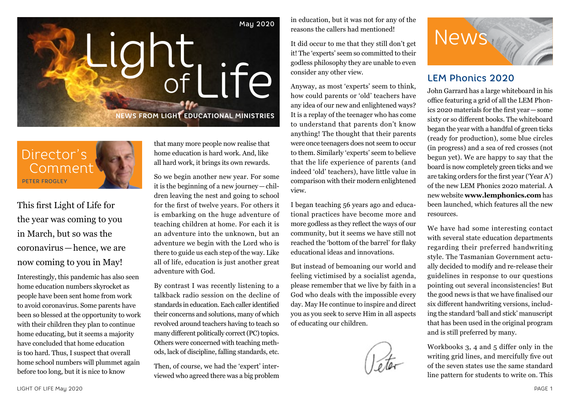



This first Light of Life for the year was coming to you in March, but so was the coronavirus—hence, we are now coming to you in May!

Interestingly, this pandemic has also seen home education numbers skyrocket as people have been sent home from work to avoid coronavirus. Some parents have been so blessed at the opportunity to work with their children they plan to continue home educating, but it seems a majority have concluded that home education is too hard. Thus, I suspect that overall home school numbers will plummet again before too long, but it is nice to know

that many more people now realise that home education is hard work. And, like all hard work, it brings its own rewards.

So we begin another new year. For some it is the beginning of a new journey—children leaving the nest and going to school for the first of twelve years. For others it is embarking on the huge adventure of teaching children at home. For each it is an adventure into the unknown, but an adventure we begin with the Lord who is there to guide us each step of the way. Like all of life, education is just another great adventure with God.

By contrast I was recently listening to a talkback radio session on the decline of standards in education. Each caller identified their concerns and solutions, many of which revolved around teachers having to teach so many different politically correct (PC) topics. Others were concerned with teaching methods, lack of discipline, falling standards, etc.

Then, of course, we had the 'expert' interviewed who agreed there was a big problem in education, but it was not for any of the reasons the callers had mentioned!

It did occur to me that they still don't get it! The 'experts' seem so committed to their godless philosophy they are unable to even consider any other view.

Anyway, as most 'experts' seem to think, how could parents or 'old' teachers have any idea of our new and enlightened ways? It is a replay of the teenager who has come to understand that parents don't know anything! The thought that their parents were once teenagers does not seem to occur to them. Similarly 'experts' seem to believe that the life experience of parents (and indeed 'old' teachers), have little value in comparison with their modern enlightened view.

I began teaching 56 years ago and educational practices have become more and more godless as they reflect the ways of our community, but it seems we have still not reached the 'bottom of the barrel' for flaky educational ideas and innovations.

But instead of bemoaning our world and feeling victimised by a socialist agenda, please remember that we live by faith in a God who deals with the impossible every day. May He continue to inspire and direct you as you seek to serve Him in all aspects of educating our children.





### LEM Phonics 2020

John Garrard has a large whiteboard in his office featuring a grid of all the LEM Phonics 2020 materials for the first year—some sixty or so different books. The whiteboard began the year with a handful of green ticks (ready for production), some blue circles (in progress) and a sea of red crosses (not begun yet). We are happy to say that the board is now completely green ticks and we are taking orders for the first year ('Year A') of the new LEM Phonics 2020 material. A new website **www.lemphonics.com** has been launched, which features all the new resources.

We have had some interesting contact with several state education departments regarding their preferred handwriting style. The Tasmanian Government actually decided to modify and re-release their guidelines in response to our questions pointing out several inconsistencies! But the good news is that we have finalised our six different handwriting versions, including the standard 'ball and stick' manuscript that has been used in the original program and is still preferred by many.

Workbooks 3, 4 and 5 differ only in the writing grid lines, and mercifully five out of the seven states use the same standard line pattern for students to write on. This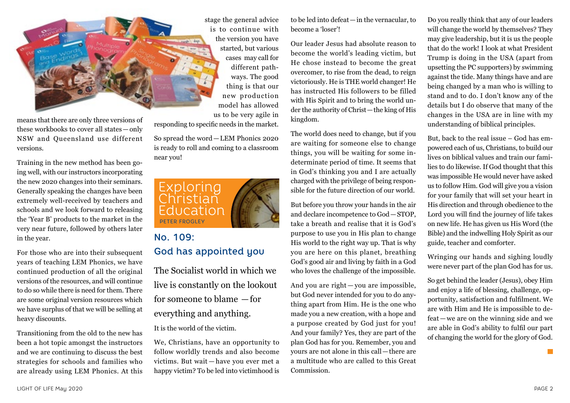

means that there are only three versions of these workbooks to cover all states—only NSW and Queensland use different versions.

Training in the new method has been going well, with our instructors incorporating the new 2020 changes into their seminars. Generally speaking the changes have been extremely well-received by teachers and schools and we look forward to releasing the 'Year B' products to the market in the very near future, followed by others later in the year.

For those who are into their subsequent years of teaching LEM Phonics, we have continued production of all the original versions of the resources, and will continue to do so while there is need for them. There are some original version resources which we have surplus of that we will be selling at heavy discounts.

Transitioning from the old to the new has been a hot topic amongst the instructors and we are continuing to discuss the best strategies for schools and families who are already using LEM Phonics. At this

stage the general advice is to continue with the version you have started, but various cases may call for different pathways. The good thing is that our new production model has allowed us to be very agile in

responding to specific needs in the market.

So spread the word—LEM Phonics 2020 is ready to roll and coming to a classroom near you!



## No. 109: God has appointed you

The Socialist world in which we live is constantly on the lookout for someone to blame —for everything and anything.

It is the world of the victim.

We, Christians, have an opportunity to follow worldly trends and also become victims. But wait — have you ever met a happy victim? To be led into victimhood is to be led into defeat—in the vernacular, to become a 'loser'!

Our leader Jesus had absolute reason to become the world's leading victim, but He chose instead to become the great overcomer, to rise from the dead, to reign victoriously. He is THE world changer! He has instructed His followers to be filled with His Spirit and to bring the world under the authority of Christ—the king of His kingdom.

The world does need to change, but if you are waiting for someone else to change things, you will be waiting for some indeterminate period of time. It seems that in God's thinking you and I are actually charged with the privilege of being responsible for the future direction of our world.

But before you throw your hands in the air and declare incompetence to God—STOP, take a breath and realise that it is God's purpose to use you in His plan to change His world to the right way up. That is why you are here on this planet, breathing God's good air and living by faith in a God who loves the challenge of the impossible.

And you are right — you are impossible, but God never intended for you to do anything apart from Him. He is the one who made you a new creation, with a hope and a purpose created by God just for you! And your family? Yes, they are part of the plan God has for you. Remember, you and yours are not alone in this call—there are a multitude who are called to this Great Commission.

Do you really think that any of our leaders will change the world by themselves? They may give leadership, but it is us the people that do the work! I look at what President Trump is doing in the USA (apart from upsetting the PC supporters) by swimming against the tide. Many things have and are being changed by a man who is willing to stand and to do. I don't know any of the details but I do observe that many of the changes in the USA are in line with my understanding of biblical principles.

But, back to the real issue – God has empowered each of us, Christians, to build our lives on biblical values and train our families to do likewise. If God thought that this was impossible He would never have asked us to follow Him. God will give you a vision for your family that will set your heart in His direction and through obedience to the Lord you will find the journey of life takes on new life. He has given us His Word (the Bible) and the indwelling Holy Spirit as our guide, teacher and comforter.

Wringing our hands and sighing loudly were never part of the plan God has for us.

So get behind the leader (Jesus), obey Him and enjoy a life of blessing, challenge, opportunity, satisfaction and fulfilment. We are with Him and He is impossible to defeat — we are on the winning side and we are able in God's ability to fulfil our part of changing the world for the glory of God.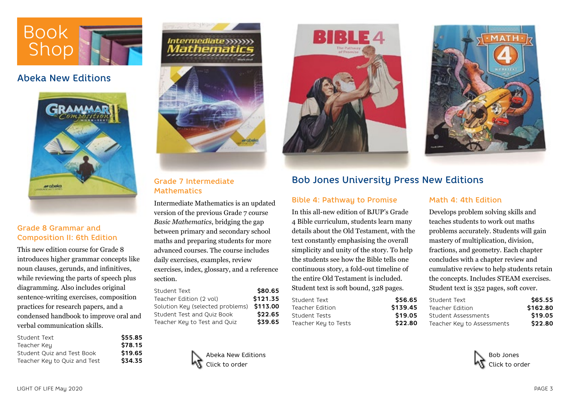

## Abeka New Editions



#### Grade 8 Grammar and Composition II: 6th Edition

This new edition course for Grade 8 introduces higher grammar concepts like noun clauses, gerunds, and infinitives, while reviewing the parts of speech plus diagramming. Also includes original sentence-writing exercises, composition practices for research papers, and a condensed handbook to improve oral and verbal communication skills.

| Student Text                 | \$55.85 |
|------------------------------|---------|
| Teacher Key                  | \$78.15 |
| Student Quiz and Test Book   | \$19.65 |
| Teacher Key to Quiz and Test | \$34.35 |



Grade 7 Intermediate **Mathematics** 

Intermediate Mathematics is an updated version of the previous Grade 7 course *Basic Mathematics*, bridging the gap between primary and secondary school maths and preparing students for more advanced courses. The course includes daily exercises, examples, review exercises, index, glossary, and a reference section.

| Student Text                     | \$80.65  |
|----------------------------------|----------|
| Teacher Edition (2 vol)          | \$121.35 |
| Solution Key (selected problems) | \$113.00 |
| Student Test and Quiz Book       | \$22.65  |
| Teacher Key to Test and Quiz     | \$39.65  |
|                                  |          |









### Bob Jones University Press New Editions

#### Bible 4: Pathway to Promise

In this all-new edition of BJUP's Grade 4 Bible curriculum, students learn many details about the Old Testament, with the text constantly emphasising the overall simplicity and unity of the story. To help the students see how the Bible tells one continuous story, a fold-out timeline of the entire Old Testament is included. Student text is soft bound, 328 pages.

| \$56.65  |
|----------|
| \$139.45 |
| \$19.05  |
| \$22.80  |
|          |

#### Math 4: 4th Edition

Develops problem solving skills and teaches students to work out maths problems accurately. Students will gain mastery of multiplication, division, fractions, and geometry. Each chapter concludes with a chapter review and cumulative review to help students retain the concepts. Includes STEAM exercises. Student text is 352 pages, soft cover.

| Student Text               | \$65.55  |
|----------------------------|----------|
| Teacher Edition            | \$162.80 |
| Student Assessments        | \$19.05  |
| Teacher Key to Assessments | \$22.80  |

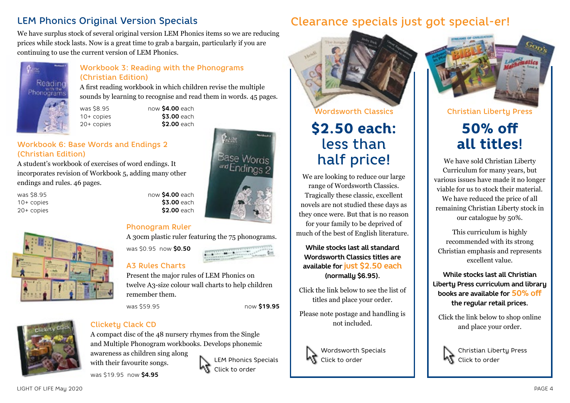## LEM Phonics Original Version Specials

We have surplus stock of several original version LEM Phonics items so we are reducing prices while stock lasts. Now is a great time to grab a bargain, particularly if you are continuing to use the current version of LEM Phonics.



#### Workbook 3: Reading with the Phonograms (Christian Edition)

A first reading workbook in which children revise the multiple sounds by learning to recognise and read them in words. 45 pages.

was \$8.95 now **\$4.00** each 10+ copies **\$3.00** each 20+ copies **\$2.00** each

#### Workbook 6: Base Words and Endings 2 (Christian Edition)

A student's workbook of exercises of word endings. It incorporates revision of Workbook 5, adding many other endings and rules. 46 pages.

was \$8.95 now **\$4.00** each 10+ copies **\$3.00** each 20+ copies **\$2.00** each



#### Phonogram Ruler

A 30cm plastic ruler featuring the 75 phonograms.

was \$0.95 now **\$0.50**

#### A3 Rules Charts

Present the major rules of LEM Phonics on twelve A3-size colour wall charts to help children remember them.

was \$59.95 now **\$19.95**



### Clickety Clack CD

A compact disc of the 48 nursery rhymes from the Single and Multiple Phonogram workbooks. Develops phonemic awareness as children sing along with their favourite songs. LEM Phonics Specials Click to order

was \$19.95 now **\$4.95**



# Clearance specials just got special-er!



# \$2.50 each: less than half price!

We are looking to reduce our large range of Wordsworth Classics. Tragically these classic, excellent novels are not studied these days as they once were. But that is no reason for your family to be deprived of much of the best of English literature.

**While stocks last all standard Wordsworth Classics titles are available for just \$2.50 each (normally \$6.95).**

Click the link below to see the list of titles and place your order.

Please note postage and handling is not included.



Wordsworth Specials Click to order



Christian Liberty Press

# 50% off all titles!

We have sold Christian Liberty Curriculum for many years, but various issues have made it no longer viable for us to stock their material. We have reduced the price of all remaining Christian Liberty stock in our catalogue by 50%.

This curriculum is highly recommended with its strong Christian emphasis and represents excellent value.

**While stocks last all Christian Liberty Press curriculum and library books are available for 50% off the regular retail prices.**

Click the link below to shop online and place your order.



Christian Liberty Press Click to order